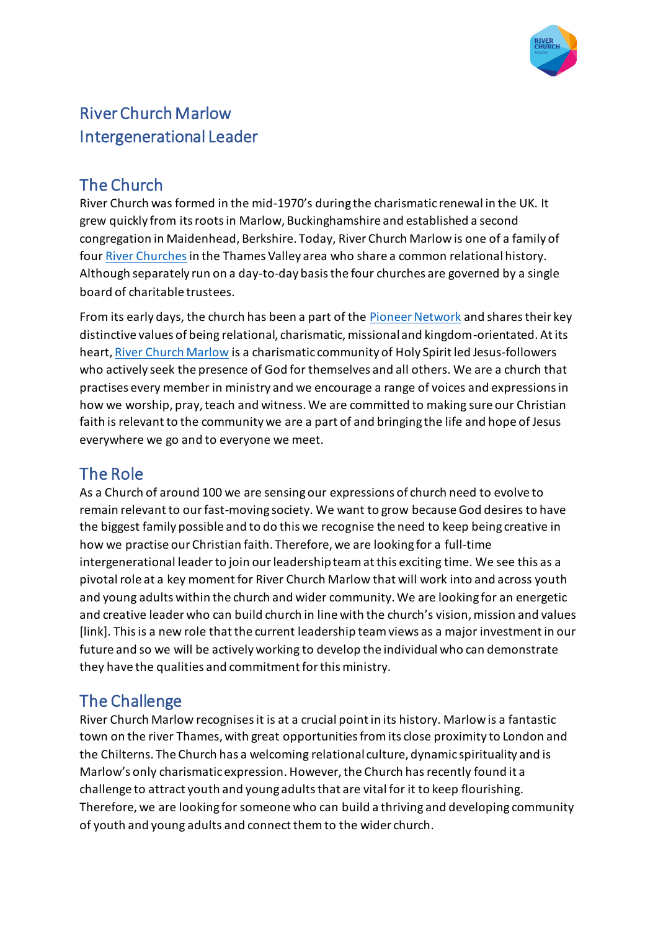

# River Church Marlow Intergenerational Leader

### The Church

River Church was formed in the mid-1970's during the charismatic renewal in the UK. It grew quickly from its roots in Marlow, Buckinghamshire and established a second congregation in Maidenhead, Berkshire. Today, River Church Marlow is one of a family of fou[r River Churches](https://riverchurch.org.uk/Groups/298400/Who_We_Are.aspx) in the Thames Valley area who share a common relational history. Although separately run on a day-to-day basis the four churches are governed by a single board of charitable trustees.

From its early days, the church has been a part of the **Pioneer Network** and shares their key distinctive values of being relational, charismatic, missional and kingdom-orientated. At its heart[, River Church Marlow](https://riverchurch.org.uk/marlow) is a charismatic community of Holy Spirit led Jesus-followers who actively seek the presence of God for themselves and all others. We are a church that practises every member in ministry and we encourage a range of voices and expressions in how we worship, pray, teach and witness. We are committed to making sure our Christian faith is relevant to the community we are a part of and bringing the life and hope of Jesus everywhere we go and to everyone we meet.

# The Role

As a Church of around 100 we are sensing our expressions of church need to evolve to remain relevant to our fast-moving society. We want to grow because God desires to have the biggest family possible and to do this we recognise the need to keep being creative in how we practise our Christian faith. Therefore, we are looking for a full-time intergenerational leaderto join our leadership team at this exciting time. We see this as a pivotal role at a key moment for River Church Marlow that will work into and across youth and young adults within the church and wider community. We are looking for an energetic and creative leader who can build church in line with the church's vision, mission and values [link]. This is a new role that the current leadership team views as a major investment in our future and so we will be actively working to develop the individual who can demonstrate they have the qualities and commitment for this ministry.

### The Challenge

River Church Marlow recognises it is at a crucial point in its history. Marlow is a fantastic town on the river Thames, with great opportunities from its close proximity to London and the Chilterns. The Church has a welcoming relational culture, dynamic spirituality and is Marlow's only charismatic expression. However, the Church has recently found it a challenge to attract youth and young adults that are vital for it to keep flourishing. Therefore, we are looking for someone who can build a thriving and developing community of youth and young adults and connect them to the wider church.